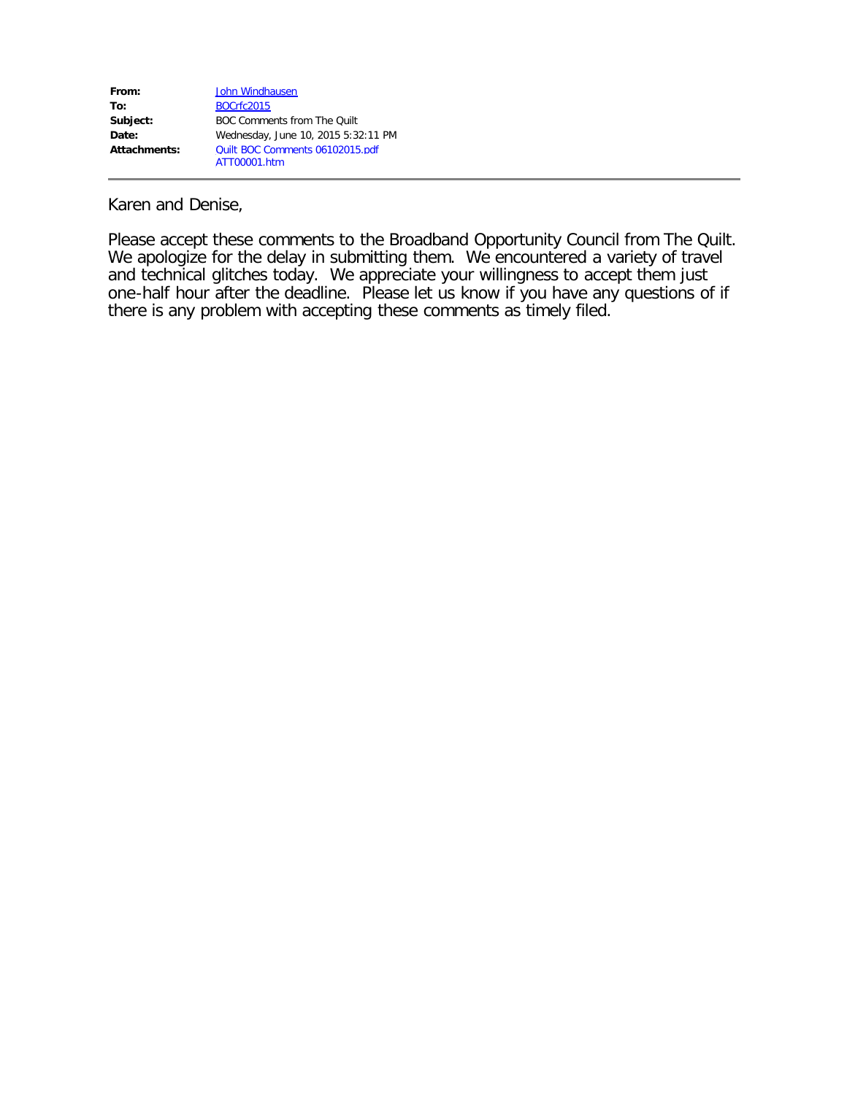| From:        | John Windhausen                     |
|--------------|-------------------------------------|
| To:          | <b>BOCrfc2015</b>                   |
| Subject:     | <b>BOC Comments from The Quilt</b>  |
| Date:        | Wednesday, June 10, 2015 5:32:11 PM |
| Attachments: | Quilt BOC Comments 06102015.pdf     |
|              | ATT00001.htm                        |

Karen and Denise,

Please accept these comments to the Broadband Opportunity Council from The Quilt. We apologize for the delay in submitting them. We encountered a variety of travel and technical glitches today. We appreciate your willingness to accept them just one-half hour after the deadline. Please let us know if you have any questions of if there is any problem with accepting these comments as timely filed.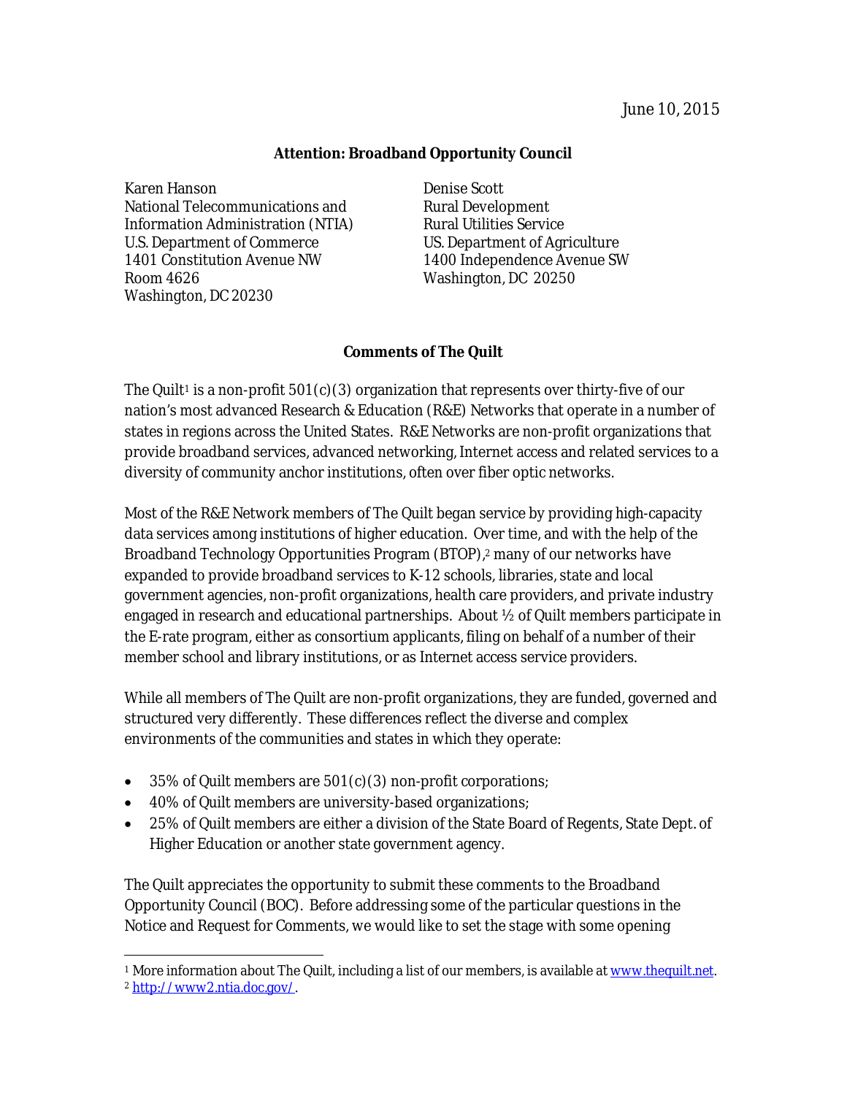#### **Attention: Broadband Opportunity Council**

Karen Hanson Denise Scott National Telecommunications and Rural Development Information Administration (NTIA) Rural Utilities Service U.S. Department of Commerce US. Department of Agriculture 1401 Constitution Avenue NW 1400 Independence Avenue SW Room 4626 Washington, DC 20250 Washington, DC 20230

#### **Comments of The Quilt**

The Quilt<sup>1</sup> is a non-profit  $501(c)(3)$  organization that represents over thirty-five of our nation's most advanced Research & Education (R&E) Networks that operate in a number of states in regions across the United States. R&E Networks are non-profit organizations that provide broadband services, advanced networking, Internet access and related services to a diversity of community anchor institutions, often over fiber optic networks.

Most of the R&E Network members of The Quilt began service by providing high-capacity data services among institutions of higher education. Over time, and with the help of the Broadband Technology Opportunities Program (BTOP),<sup>2</sup> many of our networks have expanded to provide broadband services to K-12 schools, libraries, state and local government agencies, non-profit organizations, health care providers, and private industry engaged in research and educational partnerships. About ½ of Quilt members participate in the E-rate program, either as consortium applicants, filing on behalf of a number of their member school and library institutions, or as Internet access service providers.

While all members of The Quilt are non-profit organizations, they are funded, governed and structured very differently. These differences reflect the diverse and complex environments of the communities and states in which they operate:

- 35% of Quilt members are 501(c)(3) non-profit corporations;
- 40% of Quilt members are university-based organizations;
- 25% of Quilt members are either a division of the State Board of Regents, State Dept. of Higher Education or another state government agency.

The Quilt appreciates the opportunity to submit these comments to the Broadband Opportunity Council (BOC). Before addressing some of the particular questions in the Notice and Request for Comments, we would like to set the stage with some opening

 $\overline{a}$ <sup>1</sup> More information about The Quilt, including a list of our members, is available at www.thequilt.net.

<sup>2</sup> http://www2.ntia.doc.gov/.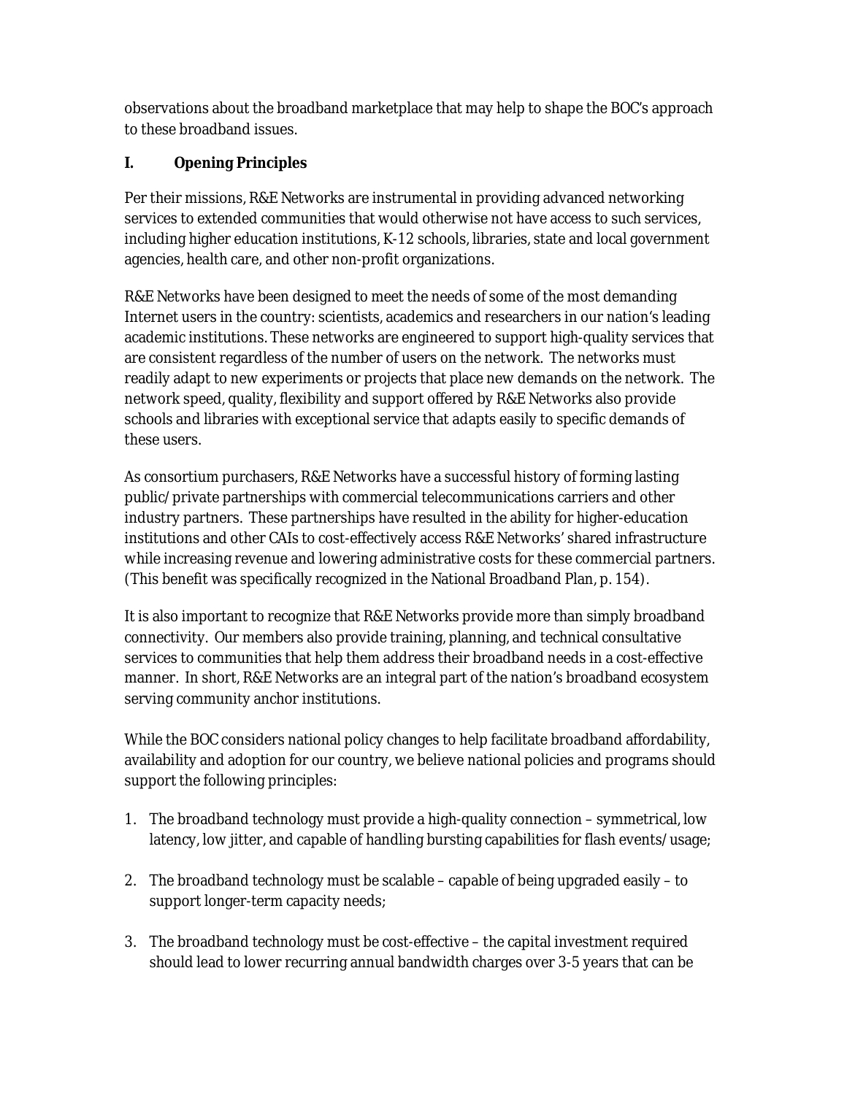observations about the broadband marketplace that may help to shape the BOC's approach to these broadband issues.

# **I. Opening Principles**

Per their missions, R&E Networks are instrumental in providing advanced networking services to extended communities that would otherwise not have access to such services, including higher education institutions, K-12 schools, libraries, state and local government agencies, health care, and other non-profit organizations.

R&E Networks have been designed to meet the needs of some of the most demanding Internet users in the country: scientists, academics and researchers in our nation's leading academic institutions. These networks are engineered to support high-quality services that are consistent regardless of the number of users on the network. The networks must readily adapt to new experiments or projects that place new demands on the network. The network speed, quality, flexibility and support offered by R&E Networks also provide schools and libraries with exceptional service that adapts easily to specific demands of these users.

As consortium purchasers, R&E Networks have a successful history of forming lasting public/private partnerships with commercial telecommunications carriers and other industry partners. These partnerships have resulted in the ability for higher-education institutions and other CAIs to cost-effectively access R&E Networks' shared infrastructure while increasing revenue and lowering administrative costs for these commercial partners. (This benefit was specifically recognized in the National Broadband Plan, p. 154).

It is also important to recognize that R&E Networks provide more than simply broadband connectivity. Our members also provide training, planning, and technical consultative services to communities that help them address their broadband needs in a cost-effective manner. In short, R&E Networks are an integral part of the nation's broadband ecosystem serving community anchor institutions.

While the BOC considers national policy changes to help facilitate broadband affordability, availability and adoption for our country, we believe national policies and programs should support the following principles:

- 1. The broadband technology must provide a high-quality connection symmetrical, low latency, low jitter, and capable of handling bursting capabilities for flash events/usage;
- 2. The broadband technology must be scalable capable of being upgraded easily to support longer-term capacity needs;
- 3. The broadband technology must be cost-effective the capital investment required should lead to lower recurring annual bandwidth charges over 3-5 years that can be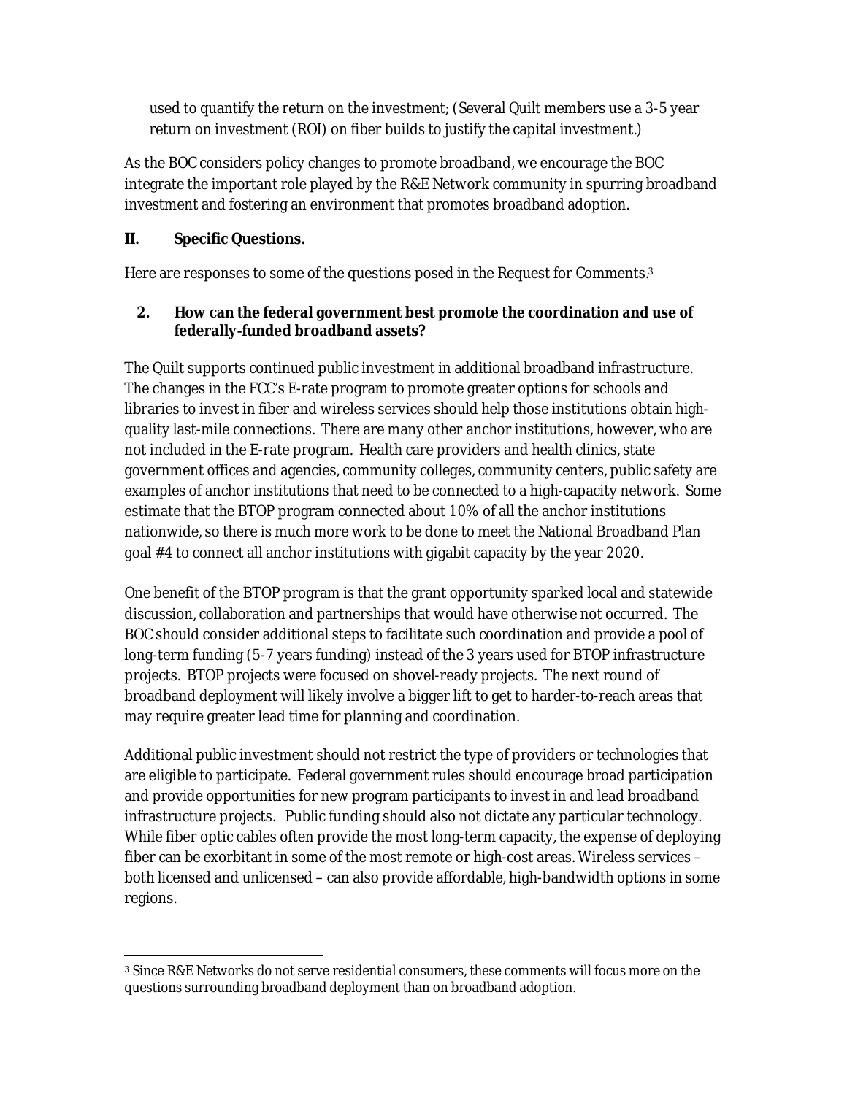used to quantify the return on the investment; (Several Quilt members use a 3-5 year return on investment (ROI) on fiber builds to justify the capital investment.)

As the BOC considers policy changes to promote broadband, we encourage the BOC integrate the important role played by the R&E Network community in spurring broadband investment and fostering an environment that promotes broadband adoption.

## **II. Specific Questions.**

Here are responses to some of the questions posed in the Request for Comments.<sup>3</sup>

#### **2. How can the federal government best promote the coordination and use of federally-funded broadband assets?**

The Quilt supports continued public investment in additional broadband infrastructure. The changes in the FCC's E-rate program to promote greater options for schools and libraries to invest in fiber and wireless services should help those institutions obtain highquality last-mile connections. There are many other anchor institutions, however, who are not included in the E-rate program. Health care providers and health clinics, state government offices and agencies, community colleges, community centers, public safety are examples of anchor institutions that need to be connected to a high-capacity network. Some estimate that the BTOP program connected about 10% of all the anchor institutions nationwide, so there is much more work to be done to meet the National Broadband Plan goal #4 to connect all anchor institutions with gigabit capacity by the year 2020.

One benefit of the BTOP program is that the grant opportunity sparked local and statewide discussion, collaboration and partnerships that would have otherwise not occurred. The BOC should consider additional steps to facilitate such coordination and provide a pool of long-term funding (5-7 years funding) instead of the 3 years used for BTOP infrastructure projects. BTOP projects were focused on shovel-ready projects. The next round of broadband deployment will likely involve a bigger lift to get to harder-to-reach areas that may require greater lead time for planning and coordination.

Additional public investment should not restrict the type of providers or technologies that are eligible to participate. Federal government rules should encourage broad participation and provide opportunities for new program participants to invest in and lead broadband infrastructure projects. Public funding should also not dictate any particular technology. While fiber optic cables often provide the most long-term capacity, the expense of deploying fiber can be exorbitant in some of the most remote or high-cost areas. Wireless services – both licensed and unlicensed – can also provide affordable, high-bandwidth options in some regions.

 $\overline{a}$ <sup>3</sup> Since R&E Networks do not serve residential consumers, these comments will focus more on the questions surrounding broadband deployment than on broadband adoption.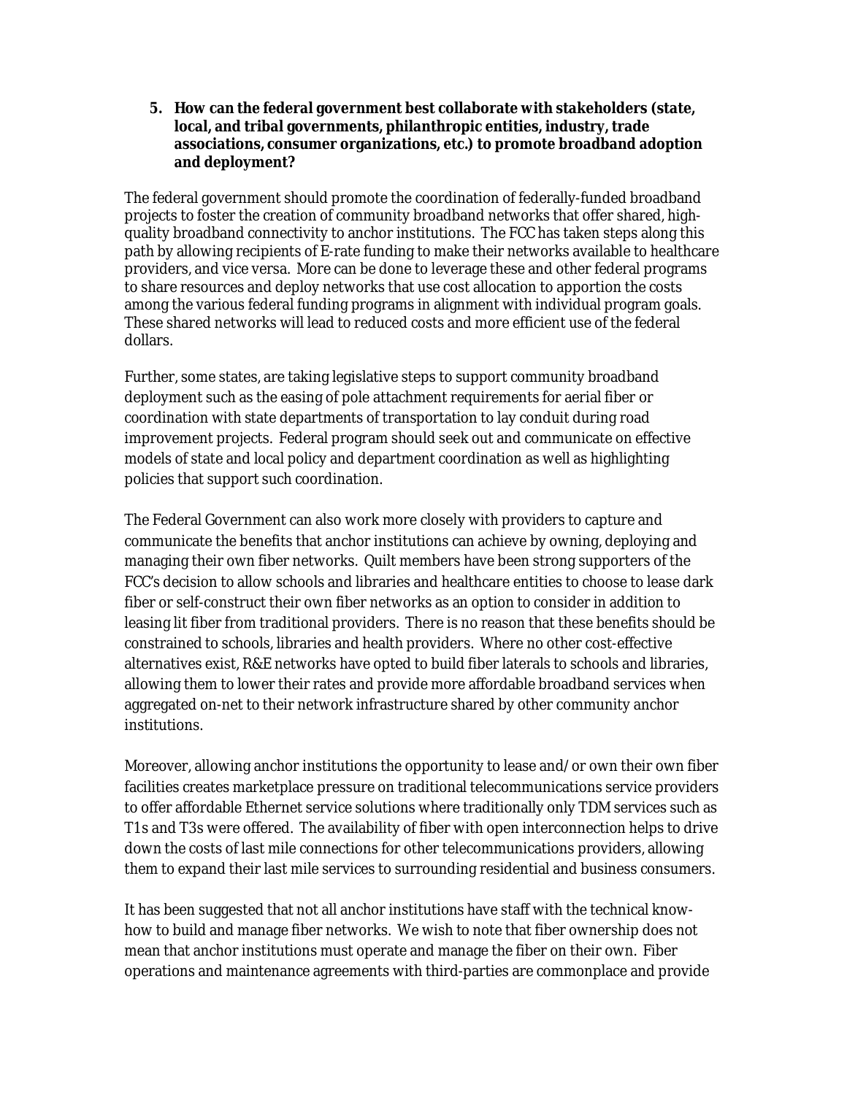**5. How can the federal government best collaborate with stakeholders (state, local, and tribal governments, philanthropic entities, industry, trade associations, consumer organizations, etc.) to promote broadband adoption and deployment?**

The federal government should promote the coordination of federally-funded broadband projects to foster the creation of community broadband networks that offer shared, highquality broadband connectivity to anchor institutions. The FCC has taken steps along this path by allowing recipients of E-rate funding to make their networks available to healthcare providers, and vice versa. More can be done to leverage these and other federal programs to share resources and deploy networks that use cost allocation to apportion the costs among the various federal funding programs in alignment with individual program goals. These shared networks will lead to reduced costs and more efficient use of the federal dollars.

Further, some states, are taking legislative steps to support community broadband deployment such as the easing of pole attachment requirements for aerial fiber or coordination with state departments of transportation to lay conduit during road improvement projects. Federal program should seek out and communicate on effective models of state and local policy and department coordination as well as highlighting policies that support such coordination.

The Federal Government can also work more closely with providers to capture and communicate the benefits that anchor institutions can achieve by owning, deploying and managing their own fiber networks. Quilt members have been strong supporters of the FCC's decision to allow schools and libraries and healthcare entities to choose to lease dark fiber or self-construct their own fiber networks as an option to consider in addition to leasing lit fiber from traditional providers. There is no reason that these benefits should be constrained to schools, libraries and health providers. Where no other cost-effective alternatives exist, R&E networks have opted to build fiber laterals to schools and libraries, allowing them to lower their rates and provide more affordable broadband services when aggregated on-net to their network infrastructure shared by other community anchor institutions.

Moreover, allowing anchor institutions the opportunity to lease and/or own their own fiber facilities creates marketplace pressure on traditional telecommunications service providers to offer affordable Ethernet service solutions where traditionally only TDM services such as T1s and T3s were offered. The availability of fiber with open interconnection helps to drive down the costs of last mile connections for other telecommunications providers, allowing them to expand their last mile services to surrounding residential and business consumers.

It has been suggested that not all anchor institutions have staff with the technical knowhow to build and manage fiber networks. We wish to note that fiber ownership does not mean that anchor institutions must operate and manage the fiber on their own. Fiber operations and maintenance agreements with third-parties are commonplace and provide